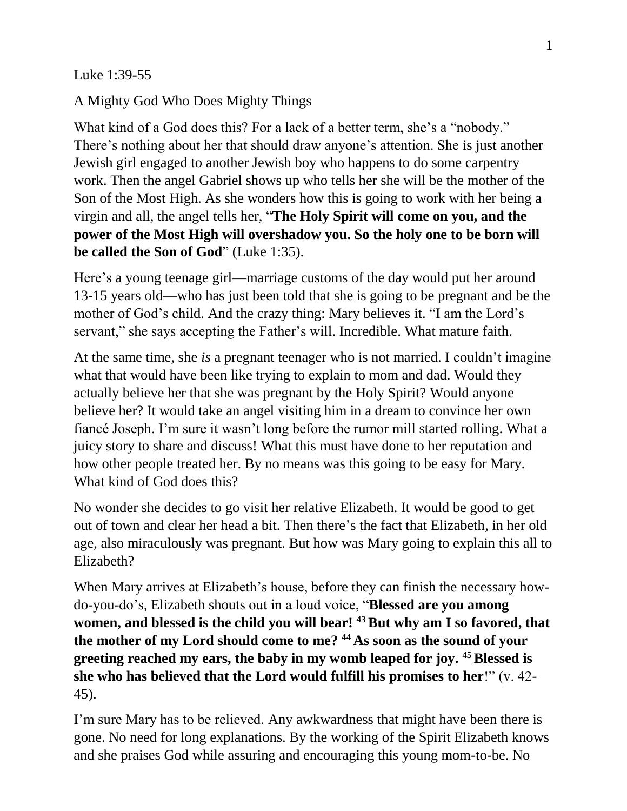Luke 1:39-55

A Mighty God Who Does Mighty Things

What kind of a God does this? For a lack of a better term, she's a "nobody." There's nothing about her that should draw anyone's attention. She is just another Jewish girl engaged to another Jewish boy who happens to do some carpentry work. Then the angel Gabriel shows up who tells her she will be the mother of the Son of the Most High. As she wonders how this is going to work with her being a virgin and all, the angel tells her, "**The Holy Spirit will come on you, and the power of the Most High will overshadow you. So the holy one to be born will be called the Son of God**" (Luke 1:35).

Here's a young teenage girl—marriage customs of the day would put her around 13-15 years old—who has just been told that she is going to be pregnant and be the mother of God's child. And the crazy thing: Mary believes it. "I am the Lord's servant," she says accepting the Father's will. Incredible. What mature faith.

At the same time, she *is* a pregnant teenager who is not married. I couldn't imagine what that would have been like trying to explain to mom and dad. Would they actually believe her that she was pregnant by the Holy Spirit? Would anyone believe her? It would take an angel visiting him in a dream to convince her own fiancé Joseph. I'm sure it wasn't long before the rumor mill started rolling. What a juicy story to share and discuss! What this must have done to her reputation and how other people treated her. By no means was this going to be easy for Mary. What kind of God does this?

No wonder she decides to go visit her relative Elizabeth. It would be good to get out of town and clear her head a bit. Then there's the fact that Elizabeth, in her old age, also miraculously was pregnant. But how was Mary going to explain this all to Elizabeth?

When Mary arrives at Elizabeth's house, before they can finish the necessary howdo-you-do's, Elizabeth shouts out in a loud voice, "**Blessed are you among women, and blessed is the child you will bear! <sup>43</sup>But why am I so favored, that the mother of my Lord should come to me? <sup>44</sup> As soon as the sound of your greeting reached my ears, the baby in my womb leaped for joy. <sup>45</sup>Blessed is she who has believed that the Lord would fulfill his promises to her**!" (v. 42- 45).

I'm sure Mary has to be relieved. Any awkwardness that might have been there is gone. No need for long explanations. By the working of the Spirit Elizabeth knows and she praises God while assuring and encouraging this young mom-to-be. No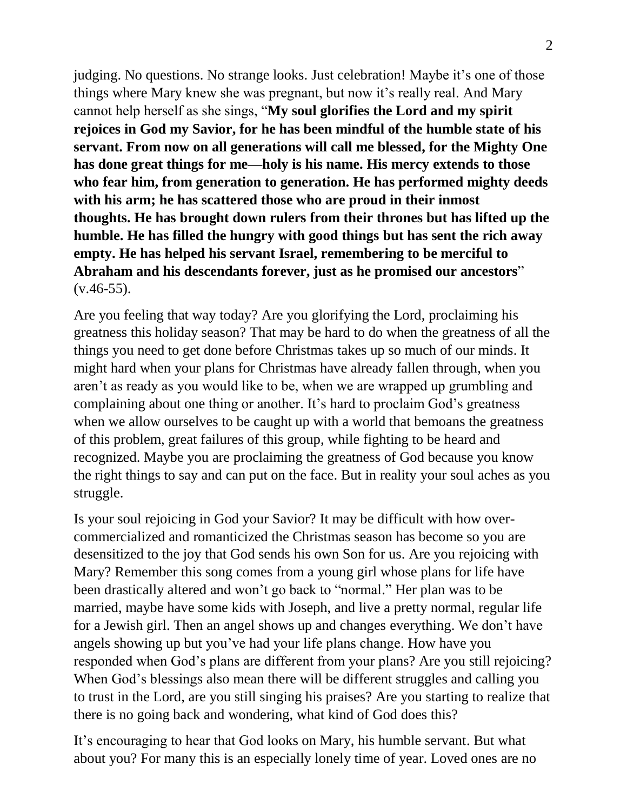judging. No questions. No strange looks. Just celebration! Maybe it's one of those things where Mary knew she was pregnant, but now it's really real. And Mary cannot help herself as she sings, "**My soul glorifies the Lord and my spirit rejoices in God my Savior, for he has been mindful of the humble state of his servant. From now on all generations will call me blessed, for the Mighty One has done great things for me—holy is his name. His mercy extends to those who fear him, from generation to generation. He has performed mighty deeds with his arm; he has scattered those who are proud in their inmost thoughts. He has brought down rulers from their thrones but has lifted up the humble. He has filled the hungry with good things but has sent the rich away empty. He has helped his servant Israel, remembering to be merciful to Abraham and his descendants forever, just as he promised our ancestors**"  $(v.46-55)$ .

Are you feeling that way today? Are you glorifying the Lord, proclaiming his greatness this holiday season? That may be hard to do when the greatness of all the things you need to get done before Christmas takes up so much of our minds. It might hard when your plans for Christmas have already fallen through, when you aren't as ready as you would like to be, when we are wrapped up grumbling and complaining about one thing or another. It's hard to proclaim God's greatness when we allow ourselves to be caught up with a world that bemoans the greatness of this problem, great failures of this group, while fighting to be heard and recognized. Maybe you are proclaiming the greatness of God because you know the right things to say and can put on the face. But in reality your soul aches as you struggle.

Is your soul rejoicing in God your Savior? It may be difficult with how overcommercialized and romanticized the Christmas season has become so you are desensitized to the joy that God sends his own Son for us. Are you rejoicing with Mary? Remember this song comes from a young girl whose plans for life have been drastically altered and won't go back to "normal." Her plan was to be married, maybe have some kids with Joseph, and live a pretty normal, regular life for a Jewish girl. Then an angel shows up and changes everything. We don't have angels showing up but you've had your life plans change. How have you responded when God's plans are different from your plans? Are you still rejoicing? When God's blessings also mean there will be different struggles and calling you to trust in the Lord, are you still singing his praises? Are you starting to realize that there is no going back and wondering, what kind of God does this?

It's encouraging to hear that God looks on Mary, his humble servant. But what about you? For many this is an especially lonely time of year. Loved ones are no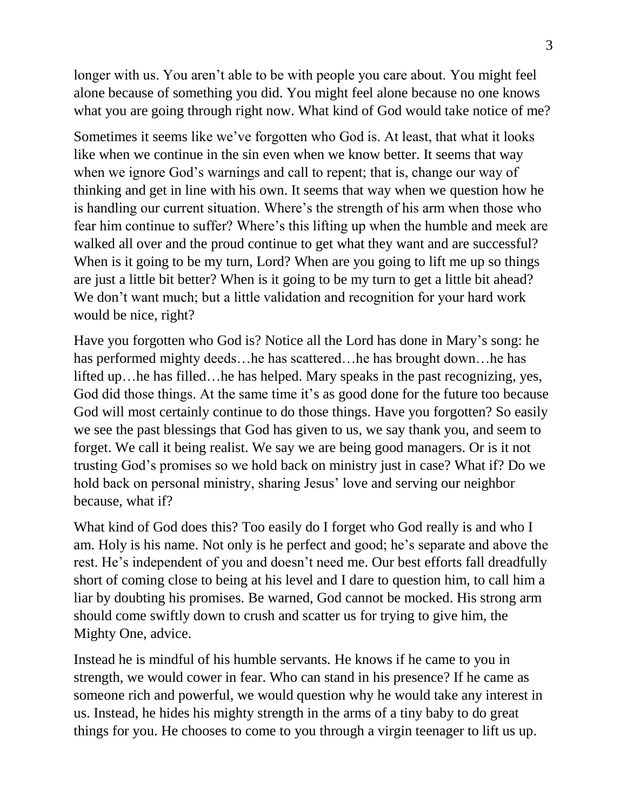longer with us. You aren't able to be with people you care about. You might feel alone because of something you did. You might feel alone because no one knows what you are going through right now. What kind of God would take notice of me?

Sometimes it seems like we've forgotten who God is. At least, that what it looks like when we continue in the sin even when we know better. It seems that way when we ignore God's warnings and call to repent; that is, change our way of thinking and get in line with his own. It seems that way when we question how he is handling our current situation. Where's the strength of his arm when those who fear him continue to suffer? Where's this lifting up when the humble and meek are walked all over and the proud continue to get what they want and are successful? When is it going to be my turn, Lord? When are you going to lift me up so things are just a little bit better? When is it going to be my turn to get a little bit ahead? We don't want much; but a little validation and recognition for your hard work would be nice, right?

Have you forgotten who God is? Notice all the Lord has done in Mary's song: he has performed mighty deeds…he has scattered…he has brought down…he has lifted up…he has filled…he has helped. Mary speaks in the past recognizing, yes, God did those things. At the same time it's as good done for the future too because God will most certainly continue to do those things. Have you forgotten? So easily we see the past blessings that God has given to us, we say thank you, and seem to forget. We call it being realist. We say we are being good managers. Or is it not trusting God's promises so we hold back on ministry just in case? What if? Do we hold back on personal ministry, sharing Jesus' love and serving our neighbor because, what if?

What kind of God does this? Too easily do I forget who God really is and who I am. Holy is his name. Not only is he perfect and good; he's separate and above the rest. He's independent of you and doesn't need me. Our best efforts fall dreadfully short of coming close to being at his level and I dare to question him, to call him a liar by doubting his promises. Be warned, God cannot be mocked. His strong arm should come swiftly down to crush and scatter us for trying to give him, the Mighty One, advice.

Instead he is mindful of his humble servants. He knows if he came to you in strength, we would cower in fear. Who can stand in his presence? If he came as someone rich and powerful, we would question why he would take any interest in us. Instead, he hides his mighty strength in the arms of a tiny baby to do great things for you. He chooses to come to you through a virgin teenager to lift us up.